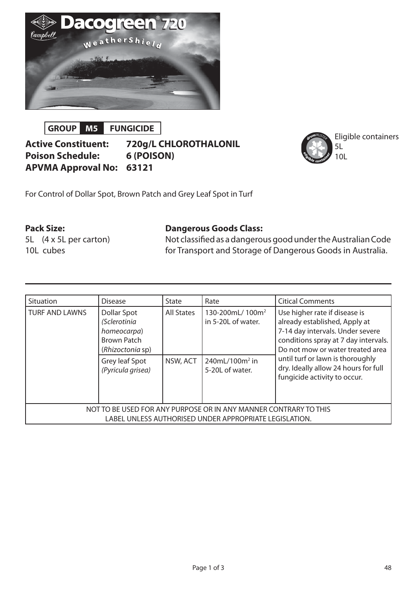

**GROUP M5 FUNGICIDE**

**Active Constituent: 720g/L CHLOROTHALONIL Poison Schedule: 6 (POISON) APVMA Approval No: 63121**



Eligible containers

For Control of Dollar Spot, Brown Patch and Grey Leaf Spot in Turf

## **Pack Size:**

5L (4 x 5L per carton) 10L cubes

### **Dangerous Goods Class:**

Not classified as a dangerous good under the Australian Code for Transport and Storage of Dangerous Goods in Australia.

| Situation                                                                                                                  | <b>Disease</b>                                                                                                              | State                         | Rate                                                                                               | <b>Citical Comments</b>                                                                                                                                                                                                                                                                    |
|----------------------------------------------------------------------------------------------------------------------------|-----------------------------------------------------------------------------------------------------------------------------|-------------------------------|----------------------------------------------------------------------------------------------------|--------------------------------------------------------------------------------------------------------------------------------------------------------------------------------------------------------------------------------------------------------------------------------------------|
| <b>TURF AND LAWNS</b>                                                                                                      | Dollar Spot<br>(Sclerotinia<br>homeocarpa)<br><b>Brown Patch</b><br>(Rhizoctonia sp)<br>Grey leaf Spot<br>(Pyricula grisea) | <b>All States</b><br>NSW, ACT | 130-200mL/100m <sup>2</sup><br>in 5-20L of water.<br>240mL/100m <sup>2</sup> in<br>5-20L of water. | Use higher rate if disease is<br>already established, Apply at<br>7-14 day intervals. Under severe<br>conditions spray at 7 day intervals.<br>Do not mow or water treated area<br>until turf or lawn is thoroughly<br>dry. Ideally allow 24 hours for full<br>fungicide activity to occur. |
| NOT TO BE USED FOR ANY PURPOSE OR IN ANY MANNER CONTRARY TO THIS<br>LABEL UNLESS AUTHORISED UNDER APPROPRIATE LEGISLATION. |                                                                                                                             |                               |                                                                                                    |                                                                                                                                                                                                                                                                                            |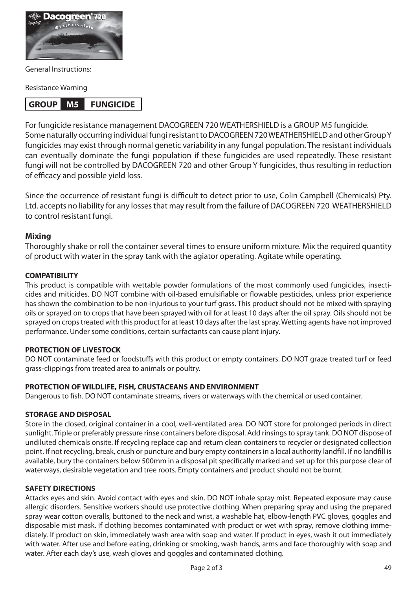

General Instructions:

Resistance Warning

# **GROUP M5 FUNGICIDE**

For fungicide resistance management DACOGREEN 720 WEATHERSHIELD is a GROUP M5 fungicide. Some naturally occurring individual fungi resistant to DACOGREEN 720 WEATHERSHIELD and other Group Y fungicides may exist through normal genetic variability in any fungal population. The resistant individuals can eventually dominate the fungi population if these fungicides are used repeatedly. These resistant fungi will not be controlled by DACOGREEN 720 and other Group Y fungicides, thus resulting in reduction of efficacy and possible yield loss.

Since the occurrence of resistant fungi is difficult to detect prior to use, Colin Campbell (Chemicals) Pty. Ltd. accepts no liability for any losses that may result from the failure of DACOGREEN 720 WEATHERSHIELD to control resistant fungi.

### **Mixing**

Thoroughly shake or roll the container several times to ensure uniform mixture. Mix the required quantity of product with water in the spray tank with the agiator operating. Agitate while operating.

#### **COMPATIBILITY**

This product is compatible with wettable powder formulations of the most commonly used fungicides, insecticides and miticides. DO NOT combine with oil-based emulsifiable or flowable pesticides, unless prior experience has shown the combination to be non-injurious to your turf grass. This product should not be mixed with spraying oils or sprayed on to crops that have been sprayed with oil for at least 10 days after the oil spray. Oils should not be sprayed on crops treated with this product for at least 10 days after the last spray. Wetting agents have not improved performance. Under some conditions, certain surfactants can cause plant injury.

### **PROTECTION OF LIVESTOCK**

DO NOT contaminate feed or foodstuffs with this product or empty containers. DO NOT graze treated turf or feed grass-clippings from treated area to animals or poultry.

#### **PROTECTION OF WILDLIFE, FISH, CRUSTACEANS AND ENVIRONMENT**

Dangerous to fish. DO NOT contaminate streams, rivers or waterways with the chemical or used container.

#### **STORAGE AND DISPOSAL**

Store in the closed, original container in a cool, well-ventilated area. DO NOT store for prolonged periods in direct sunlight. Triple or preferably pressure rinse containers before disposal. Add rinsings to spray tank. DO NOT dispose of undiluted chemicals onsite. If recycling replace cap and return clean containers to recycler or designated collection point. If not recycling, break, crush or puncture and bury empty containers in a local authority landfill. If no landfill is available, bury the containers below 500mm in a disposal pit specifically marked and set up for this purpose clear of waterways, desirable vegetation and tree roots. Empty containers and product should not be burnt.

#### **SAFETY DIRECTIONS**

Attacks eyes and skin. Avoid contact with eyes and skin. DO NOT inhale spray mist. Repeated exposure may cause allergic disorders. Sensitive workers should use protective clothing. When preparing spray and using the prepared spray wear cotton overalls, buttoned to the neck and wrist, a washable hat, elbow-length PVC gloves, goggles and disposable mist mask. If clothing becomes contaminated with product or wet with spray, remove clothing immediately. If product on skin, immediately wash area with soap and water. If product in eyes, wash it out immediately with water. After use and before eating, drinking or smoking, wash hands, arms and face thoroughly with soap and water. After each day's use, wash gloves and goggles and contaminated clothing.